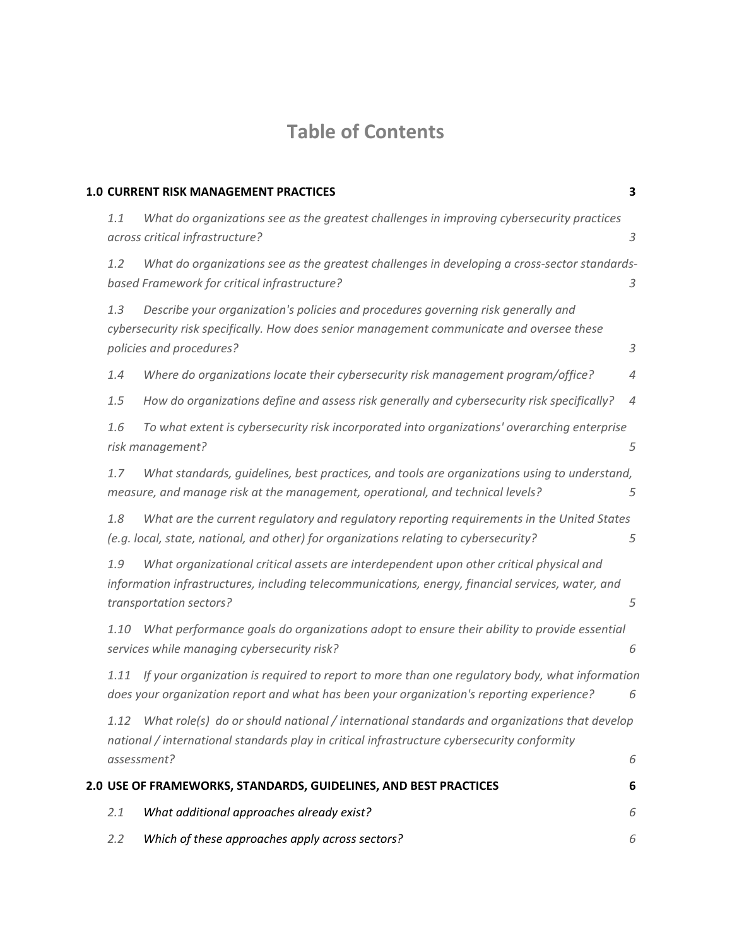# **Table of Contents**

|      | <b>1.0 CURRENT RISK MANAGEMENT PRACTICES</b>                                                                                                                                                                            | 3              |
|------|-------------------------------------------------------------------------------------------------------------------------------------------------------------------------------------------------------------------------|----------------|
| 1.1  | What do organizations see as the greatest challenges in improving cybersecurity practices<br>across critical infrastructure?                                                                                            | $\mathfrak z$  |
| 1.2  | What do organizations see as the greatest challenges in developing a cross-sector standards-<br>based Framework for critical infrastructure?                                                                            | 3              |
| 1.3  | Describe your organization's policies and procedures governing risk generally and<br>cybersecurity risk specifically. How does senior management communicate and oversee these<br>policies and procedures?              | $\mathfrak{Z}$ |
| 1.4  | Where do organizations locate their cybersecurity risk management program/office?                                                                                                                                       | 4              |
| 1.5  | How do organizations define and assess risk generally and cybersecurity risk specifically?                                                                                                                              | 4              |
| 1.6  | To what extent is cybersecurity risk incorporated into organizations' overarching enterprise<br>risk management?                                                                                                        | 5              |
| 1.7  | What standards, quidelines, best practices, and tools are organizations using to understand,<br>measure, and manage risk at the management, operational, and technical levels?                                          | 5              |
| 1.8  | What are the current regulatory and regulatory reporting requirements in the United States<br>(e.g. local, state, national, and other) for organizations relating to cybersecurity?                                     | 5              |
| 1.9  | What organizational critical assets are interdependent upon other critical physical and<br>information infrastructures, including telecommunications, energy, financial services, water, and<br>transportation sectors? | 5              |
| 1.10 | What performance goals do organizations adopt to ensure their ability to provide essential<br>services while managing cybersecurity risk?                                                                               | 6              |
| 1.11 | If your organization is required to report to more than one regulatory body, what information<br>does your organization report and what has been your organization's reporting experience?                              | 6              |
|      | 1.12 What role(s) do or should national / international standards and organizations that develop<br>national / international standards play in critical infrastructure cybersecurity conformity                         |                |
|      | assessment?                                                                                                                                                                                                             | 6              |
|      | 2.0 USE OF FRAMEWORKS, STANDARDS, GUIDELINES, AND BEST PRACTICES                                                                                                                                                        | 6              |
| 2.1  | What additional approaches already exist?                                                                                                                                                                               | 6              |
| 2.2  | Which of these approaches apply across sectors?                                                                                                                                                                         | 6              |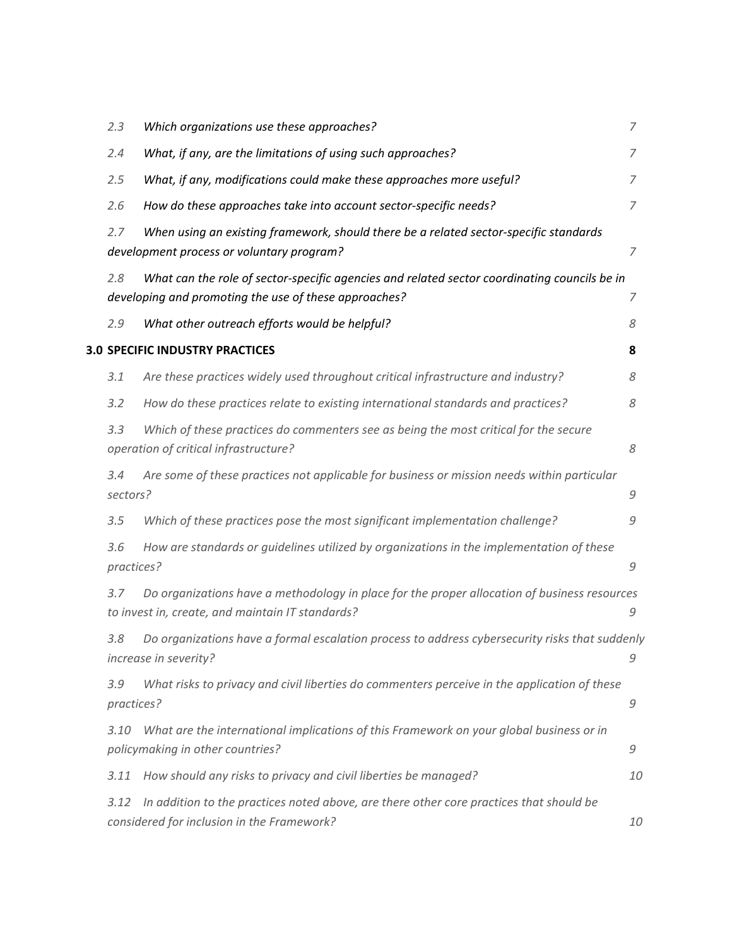| 2.3               | Which organizations use these approaches?                                                                                                             | 7              |
|-------------------|-------------------------------------------------------------------------------------------------------------------------------------------------------|----------------|
| 2.4               | What, if any, are the limitations of using such approaches?                                                                                           | 7              |
| 2.5               | What, if any, modifications could make these approaches more useful?                                                                                  | 7              |
| 2.6               | How do these approaches take into account sector-specific needs?                                                                                      | 7              |
| 2.7               | When using an existing framework, should there be a related sector-specific standards<br>development process or voluntary program?                    | $\overline{7}$ |
| 2.8               | What can the role of sector-specific agencies and related sector coordinating councils be in<br>developing and promoting the use of these approaches? | 7              |
| 2.9               | What other outreach efforts would be helpful?                                                                                                         | 8              |
|                   | <b>3.0 SPECIFIC INDUSTRY PRACTICES</b>                                                                                                                | 8              |
| 3.1               | Are these practices widely used throughout critical infrastructure and industry?                                                                      | 8              |
| 3.2               | How do these practices relate to existing international standards and practices?                                                                      | 8              |
| 3.3               | Which of these practices do commenters see as being the most critical for the secure<br>operation of critical infrastructure?                         | 8              |
| 3.4<br>sectors?   | Are some of these practices not applicable for business or mission needs within particular                                                            | 9              |
| 3.5               | Which of these practices pose the most significant implementation challenge?                                                                          | 9              |
| 3.6<br>practices? | How are standards or guidelines utilized by organizations in the implementation of these                                                              | 9              |
| 3.7               | Do organizations have a methodology in place for the proper allocation of business resources<br>to invest in, create, and maintain IT standards?      | 9              |
| 3.8               | Do organizations have a formal escalation process to address cybersecurity risks that suddenly<br>increase in severity?                               | 9              |
| 3.9<br>practices? | What risks to privacy and civil liberties do commenters perceive in the application of these                                                          | 9              |
| 3.10              | What are the international implications of this Framework on your global business or in<br>policymaking in other countries?                           | 9              |
| 3.11              | How should any risks to privacy and civil liberties be managed?                                                                                       | 10             |
| 3.12              | In addition to the practices noted above, are there other core practices that should be<br>considered for inclusion in the Framework?                 | 10             |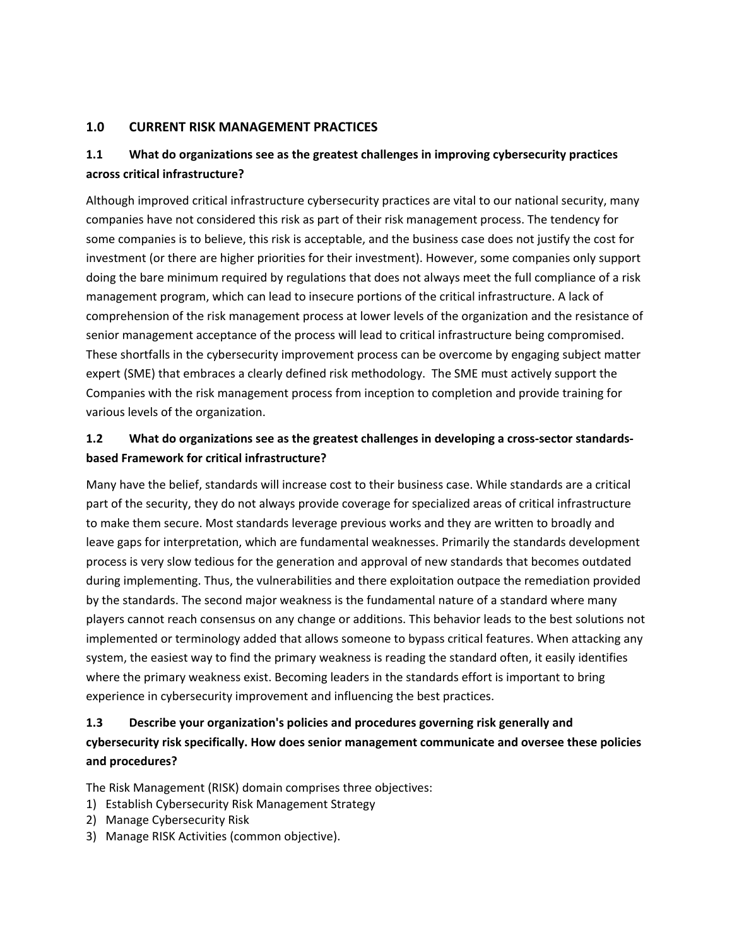#### **1.0 CURRENT RISK MANAGEMENT PRACTICES**

# **1.1 What do organizations see as the greatest challenges in improving cybersecurity practices across critical infrastructure?**

Although improved critical infrastructure cybersecurity practices are vital to our national security, many companies have not considered this risk as part of their risk management process. The tendency for some companies is to believe, this risk is acceptable, and the business case does not justify the cost for investment (or there are higher priorities for their investment). However, some companies only support doing the bare minimum required by regulations that does not always meet the full compliance of a risk management program, which can lead to insecure portions of the critical infrastructure. A lack of comprehension of the risk management process at lower levels of the organization and the resistance of senior management acceptance of the process will lead to critical infrastructure being compromised. These shortfalls in the cybersecurity improvement process can be overcome by engaging subject matter expert (SME) that embraces a clearly defined risk methodology. The SME must actively support the Companies with the risk management process from inception to completion and provide training for various levels of the organization.

## **1.2 What do organizations see as the greatest challenges in developing a cross-sector standardsbased Framework for critical infrastructure?**

Many have the belief, standards will increase cost to their business case. While standards are a critical part of the security, they do not always provide coverage for specialized areas of critical infrastructure to make them secure. Most standards leverage previous works and they are written to broadly and leave gaps for interpretation, which are fundamental weaknesses. Primarily the standards development process is very slow tedious for the generation and approval of new standards that becomes outdated during implementing. Thus, the vulnerabilities and there exploitation outpace the remediation provided by the standards. The second major weakness is the fundamental nature of a standard where many players cannot reach consensus on any change or additions. This behavior leads to the best solutions not implemented or terminology added that allows someone to bypass critical features. When attacking any system, the easiest way to find the primary weakness is reading the standard often, it easily identifies where the primary weakness exist. Becoming leaders in the standards effort is important to bring experience in cybersecurity improvement and influencing the best practices.

# **1.3 Describe your organization's policies and procedures governing risk generally and cybersecurity risk specifically. How does senior management communicate and oversee these policies and procedures?**

The Risk Management (RISK) domain comprises three objectives:

- 1) Establish Cybersecurity Risk Management Strategy
- 2) Manage Cybersecurity Risk
- 3) Manage RISK Activities (common objective).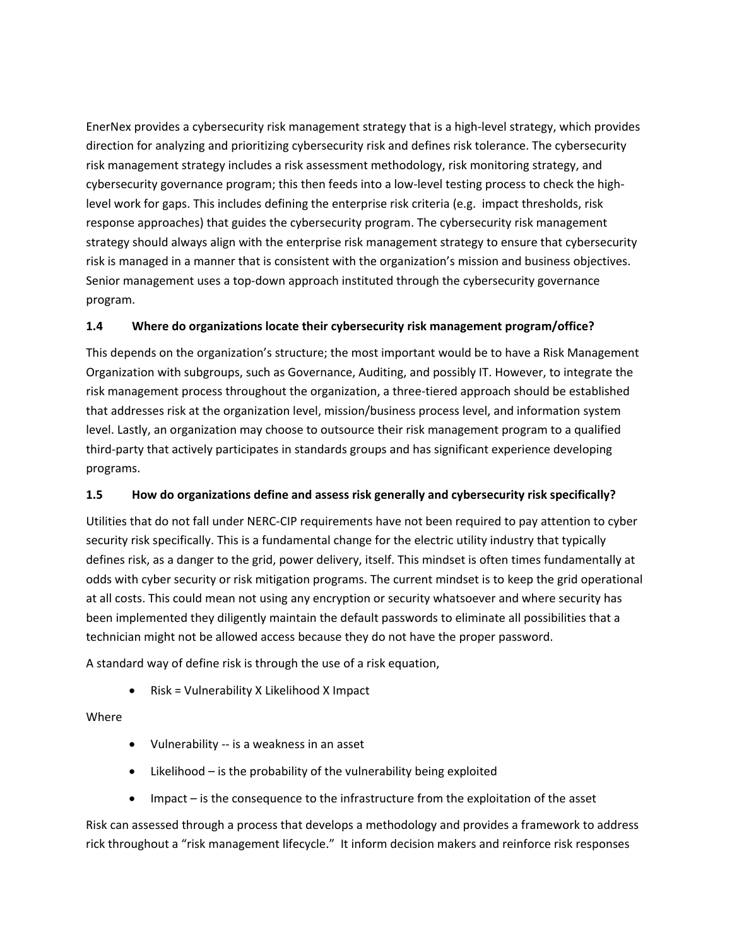EnerNex provides a cybersecurity risk management strategy that is a high-level strategy, which provides direction for analyzing and prioritizing cybersecurity risk and defines risk tolerance. The cybersecurity risk management strategy includes a risk assessment methodology, risk monitoring strategy, and cybersecurity governance program; this then feeds into a low-level testing process to check the highlevel work for gaps. This includes defining the enterprise risk criteria (e.g. impact thresholds, risk response approaches) that guides the cybersecurity program. The cybersecurity risk management strategy should always align with the enterprise risk management strategy to ensure that cybersecurity risk is managed in a manner that is consistent with the organization's mission and business objectives. Senior management uses a top-down approach instituted through the cybersecurity governance program.

#### **1.4 Where do organizations locate their cybersecurity risk management program/office?**

This depends on the organization's structure; the most important would be to have a Risk Management Organization with subgroups, such as Governance, Auditing, and possibly IT. However, to integrate the risk management process throughout the organization, a three-tiered approach should be established that addresses risk at the organization level, mission/business process level, and information system level. Lastly, an organization may choose to outsource their risk management program to a qualified third-party that actively participates in standards groups and has significant experience developing programs.

#### **1.5 How do organizations define and assess risk generally and cybersecurity risk specifically?**

Utilities that do not fall under NERC-CIP requirements have not been required to pay attention to cyber security risk specifically. This is a fundamental change for the electric utility industry that typically defines risk, as a danger to the grid, power delivery, itself. This mindset is often times fundamentally at odds with cyber security or risk mitigation programs. The current mindset is to keep the grid operational at all costs. This could mean not using any encryption or security whatsoever and where security has been implemented they diligently maintain the default passwords to eliminate all possibilities that a technician might not be allowed access because they do not have the proper password.

A standard way of define risk is through the use of a risk equation,

• Risk = Vulnerability X Likelihood X Impact

Where

- Vulnerability -- is a weakness in an asset
- Likelihood is the probability of the vulnerability being exploited
- Impact is the consequence to the infrastructure from the exploitation of the asset

Risk can assessed through a process that develops a methodology and provides a framework to address rick throughout a "risk management lifecycle." It inform decision makers and reinforce risk responses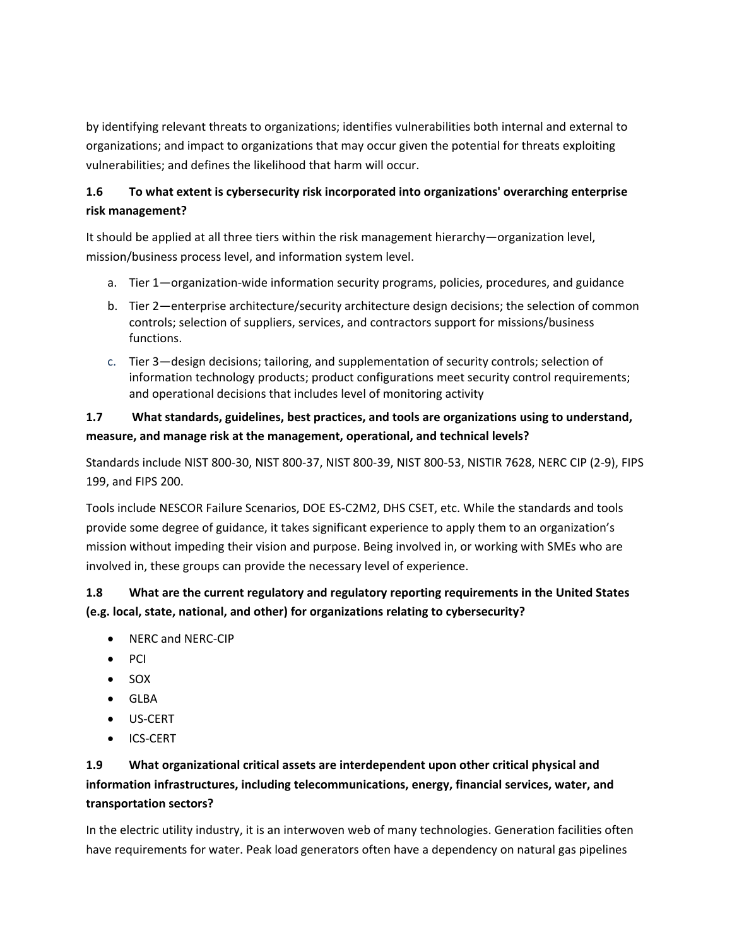by identifying relevant threats to organizations; identifies vulnerabilities both internal and external to organizations; and impact to organizations that may occur given the potential for threats exploiting vulnerabilities; and defines the likelihood that harm will occur.

# **1.6 To what extent is cybersecurity risk incorporated into organizations' overarching enterprise risk management?**

It should be applied at all three tiers within the risk management hierarchy—organization level, mission/business process level, and information system level.

- a. Tier 1—organization-wide information security programs, policies, procedures, and guidance
- b. Tier 2—enterprise architecture/security architecture design decisions; the selection of common controls; selection of suppliers, services, and contractors support for missions/business functions.
- c. Tier 3—design decisions; tailoring, and supplementation of security controls; selection of information technology products; product configurations meet security control requirements; and operational decisions that includes level of monitoring activity

## **1.7 What standards, guidelines, best practices, and tools are organizations using to understand, measure, and manage risk at the management, operational, and technical levels?**

Standards include NIST 800-30, NIST 800-37, NIST 800-39, NIST 800-53, NISTIR 7628, NERC CIP (2-9), FIPS 199, and FIPS 200.

Tools include NESCOR Failure Scenarios, DOE ES-C2M2, DHS CSET, etc. While the standards and tools provide some degree of guidance, it takes significant experience to apply them to an organization's mission without impeding their vision and purpose. Being involved in, or working with SMEs who are involved in, these groups can provide the necessary level of experience.

# **1.8 What are the current regulatory and regulatory reporting requirements in the United States (e.g. local, state, national, and other) for organizations relating to cybersecurity?**

- NERC and NERC-CIP
- PCI
- SOX
- GLBA
- US-CERT
- ICS-CERT

# **1.9 What organizational critical assets are interdependent upon other critical physical and information infrastructures, including telecommunications, energy, financial services, water, and transportation sectors?**

In the electric utility industry, it is an interwoven web of many technologies. Generation facilities often have requirements for water. Peak load generators often have a dependency on natural gas pipelines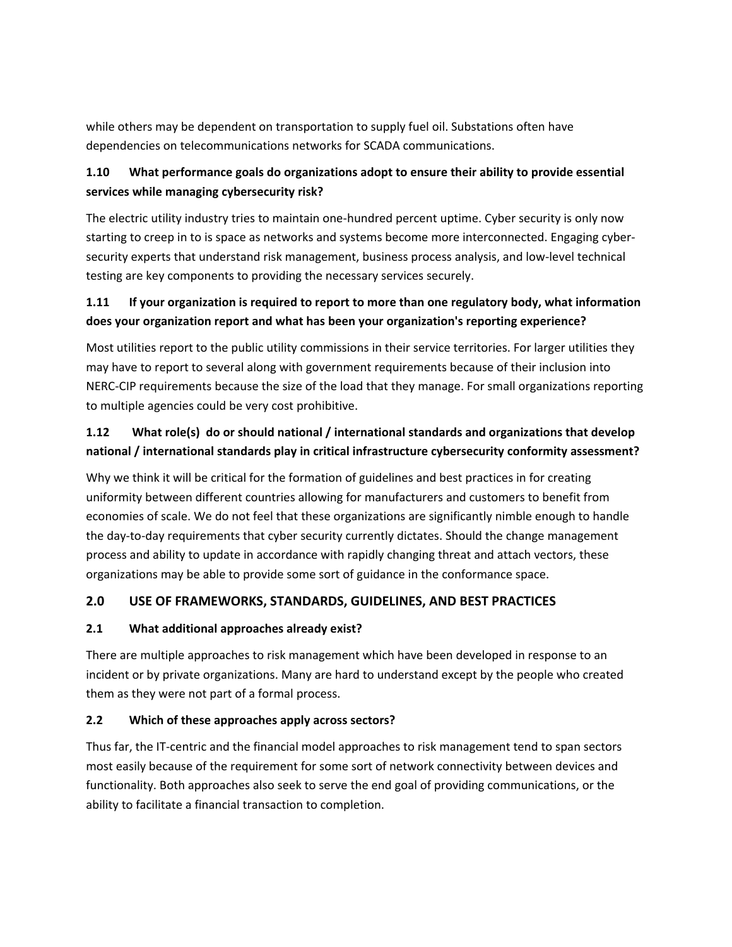while others may be dependent on transportation to supply fuel oil. Substations often have dependencies on telecommunications networks for SCADA communications.

# **1.10 What performance goals do organizations adopt to ensure their ability to provide essential services while managing cybersecurity risk?**

The electric utility industry tries to maintain one-hundred percent uptime. Cyber security is only now starting to creep in to is space as networks and systems become more interconnected. Engaging cybersecurity experts that understand risk management, business process analysis, and low-level technical testing are key components to providing the necessary services securely.

## **1.11 If your organization is required to report to more than one regulatory body, what information does your organization report and what has been your organization's reporting experience?**

Most utilities report to the public utility commissions in their service territories. For larger utilities they may have to report to several along with government requirements because of their inclusion into NERC-CIP requirements because the size of the load that they manage. For small organizations reporting to multiple agencies could be very cost prohibitive.

## **1.12 What role(s) do or should national / international standards and organizations that develop national / international standards play in critical infrastructure cybersecurity conformity assessment?**

Why we think it will be critical for the formation of guidelines and best practices in for creating uniformity between different countries allowing for manufacturers and customers to benefit from economies of scale. We do not feel that these organizations are significantly nimble enough to handle the day-to-day requirements that cyber security currently dictates. Should the change management process and ability to update in accordance with rapidly changing threat and attach vectors, these organizations may be able to provide some sort of guidance in the conformance space.

# **2.0 USE OF FRAMEWORKS, STANDARDS, GUIDELINES, AND BEST PRACTICES**

## **2.1 What additional approaches already exist?**

There are multiple approaches to risk management which have been developed in response to an incident or by private organizations. Many are hard to understand except by the people who created them as they were not part of a formal process.

## **2.2 Which of these approaches apply across sectors?**

Thus far, the IT-centric and the financial model approaches to risk management tend to span sectors most easily because of the requirement for some sort of network connectivity between devices and functionality. Both approaches also seek to serve the end goal of providing communications, or the ability to facilitate a financial transaction to completion.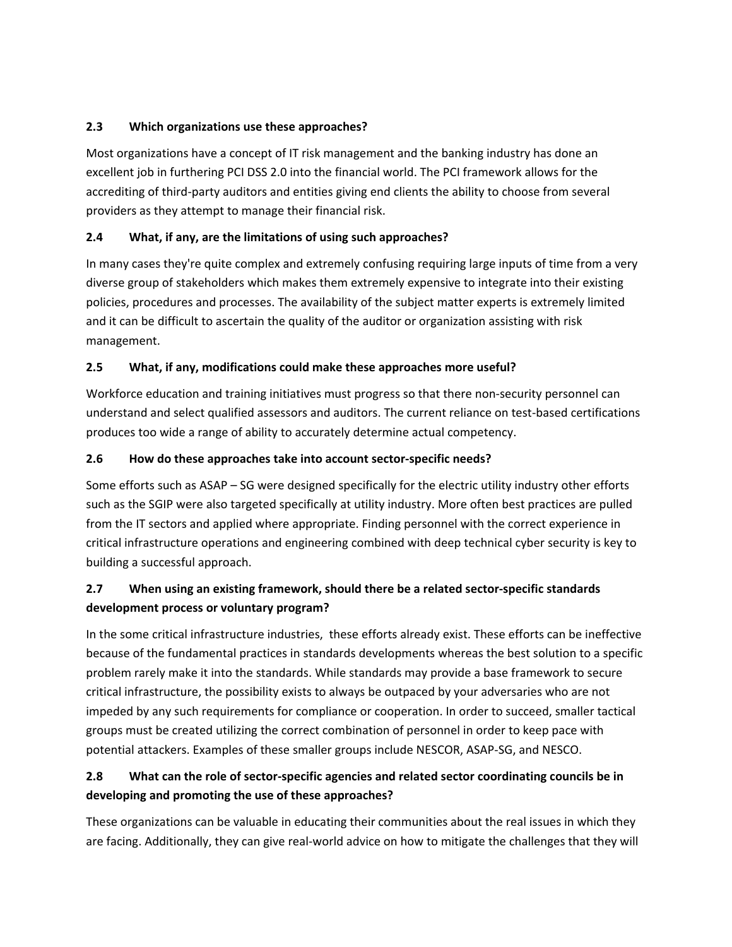#### **2.3 Which organizations use these approaches?**

Most organizations have a concept of IT risk management and the banking industry has done an excellent job in furthering PCI DSS 2.0 into the financial world. The PCI framework allows for the accrediting of third-party auditors and entities giving end clients the ability to choose from several providers as they attempt to manage their financial risk.

## **2.4 What, if any, are the limitations of using such approaches?**

In many cases they're quite complex and extremely confusing requiring large inputs of time from a very diverse group of stakeholders which makes them extremely expensive to integrate into their existing policies, procedures and processes. The availability of the subject matter experts is extremely limited and it can be difficult to ascertain the quality of the auditor or organization assisting with risk management.

## **2.5 What, if any, modifications could make these approaches more useful?**

Workforce education and training initiatives must progress so that there non-security personnel can understand and select qualified assessors and auditors. The current reliance on test-based certifications produces too wide a range of ability to accurately determine actual competency.

#### **2.6 How do these approaches take into account sector-specific needs?**

Some efforts such as ASAP – SG were designed specifically for the electric utility industry other efforts such as the SGIP were also targeted specifically at utility industry. More often best practices are pulled from the IT sectors and applied where appropriate. Finding personnel with the correct experience in critical infrastructure operations and engineering combined with deep technical cyber security is key to building a successful approach.

# **2.7 When using an existing framework, should there be a related sector-specific standards development process or voluntary program?**

In the some critical infrastructure industries, these efforts already exist. These efforts can be ineffective because of the fundamental practices in standards developments whereas the best solution to a specific problem rarely make it into the standards. While standards may provide a base framework to secure critical infrastructure, the possibility exists to always be outpaced by your adversaries who are not impeded by any such requirements for compliance or cooperation. In order to succeed, smaller tactical groups must be created utilizing the correct combination of personnel in order to keep pace with potential attackers. Examples of these smaller groups include NESCOR, ASAP-SG, and NESCO.

# **2.8 What can the role of sector-specific agencies and related sector coordinating councils be in developing and promoting the use of these approaches?**

These organizations can be valuable in educating their communities about the real issues in which they are facing. Additionally, they can give real-world advice on how to mitigate the challenges that they will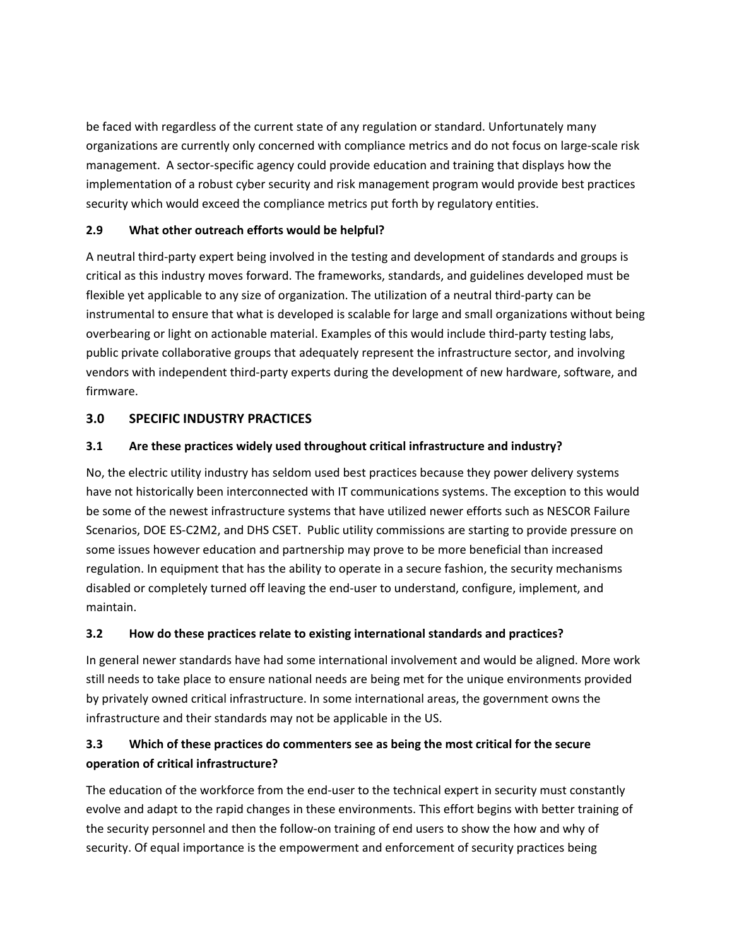be faced with regardless of the current state of any regulation or standard. Unfortunately many organizations are currently only concerned with compliance metrics and do not focus on large-scale risk management. A sector-specific agency could provide education and training that displays how the implementation of a robust cyber security and risk management program would provide best practices security which would exceed the compliance metrics put forth by regulatory entities.

## **2.9 What other outreach efforts would be helpful?**

A neutral third-party expert being involved in the testing and development of standards and groups is critical as this industry moves forward. The frameworks, standards, and guidelines developed must be flexible yet applicable to any size of organization. The utilization of a neutral third-party can be instrumental to ensure that what is developed is scalable for large and small organizations without being overbearing or light on actionable material. Examples of this would include third-party testing labs, public private collaborative groups that adequately represent the infrastructure sector, and involving vendors with independent third-party experts during the development of new hardware, software, and firmware.

## **3.0 SPECIFIC INDUSTRY PRACTICES**

## **3.1 Are these practices widely used throughout critical infrastructure and industry?**

No, the electric utility industry has seldom used best practices because they power delivery systems have not historically been interconnected with IT communications systems. The exception to this would be some of the newest infrastructure systems that have utilized newer efforts such as NESCOR Failure Scenarios, DOE ES-C2M2, and DHS CSET. Public utility commissions are starting to provide pressure on some issues however education and partnership may prove to be more beneficial than increased regulation. In equipment that has the ability to operate in a secure fashion, the security mechanisms disabled or completely turned off leaving the end-user to understand, configure, implement, and maintain.

#### **3.2 How do these practices relate to existing international standards and practices?**

In general newer standards have had some international involvement and would be aligned. More work still needs to take place to ensure national needs are being met for the unique environments provided by privately owned critical infrastructure. In some international areas, the government owns the infrastructure and their standards may not be applicable in the US.

## **3.3 Which of these practices do commenters see as being the most critical for the secure operation of critical infrastructure?**

The education of the workforce from the end-user to the technical expert in security must constantly evolve and adapt to the rapid changes in these environments. This effort begins with better training of the security personnel and then the follow-on training of end users to show the how and why of security. Of equal importance is the empowerment and enforcement of security practices being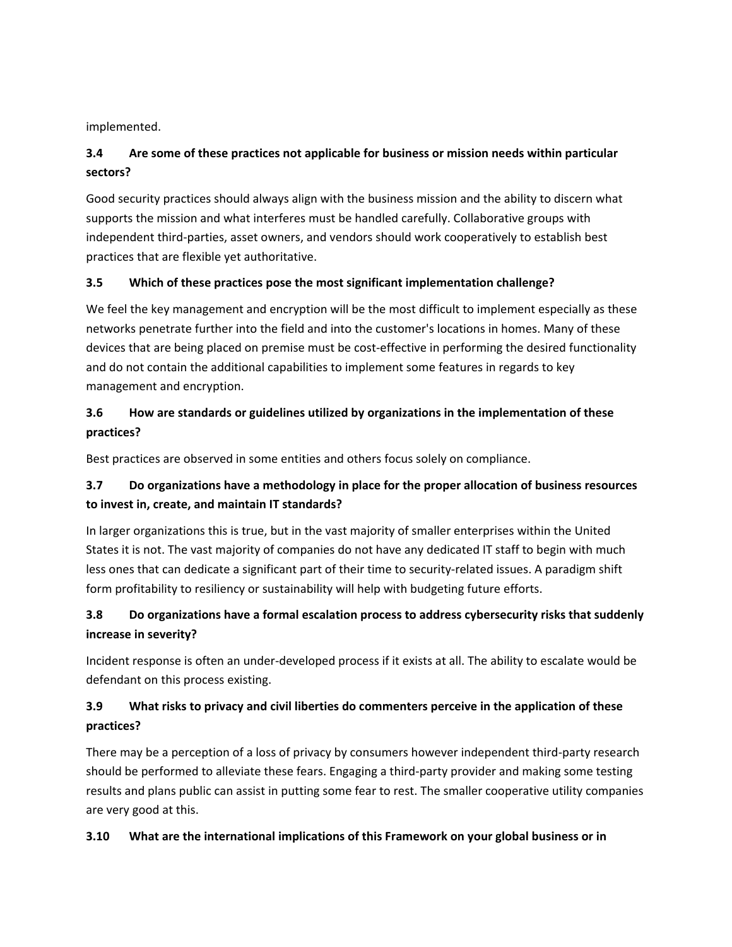implemented.

# **3.4 Are some of these practices not applicable for business or mission needs within particular sectors?**

Good security practices should always align with the business mission and the ability to discern what supports the mission and what interferes must be handled carefully. Collaborative groups with independent third-parties, asset owners, and vendors should work cooperatively to establish best practices that are flexible yet authoritative.

#### **3.5 Which of these practices pose the most significant implementation challenge?**

We feel the key management and encryption will be the most difficult to implement especially as these networks penetrate further into the field and into the customer's locations in homes. Many of these devices that are being placed on premise must be cost-effective in performing the desired functionality and do not contain the additional capabilities to implement some features in regards to key management and encryption.

# **3.6 How are standards or guidelines utilized by organizations in the implementation of these practices?**

Best practices are observed in some entities and others focus solely on compliance.

## **3.7 Do organizations have a methodology in place for the proper allocation of business resources to invest in, create, and maintain IT standards?**

In larger organizations this is true, but in the vast majority of smaller enterprises within the United States it is not. The vast majority of companies do not have any dedicated IT staff to begin with much less ones that can dedicate a significant part of their time to security-related issues. A paradigm shift form profitability to resiliency or sustainability will help with budgeting future efforts.

# **3.8 Do organizations have a formal escalation process to address cybersecurity risks that suddenly increase in severity?**

Incident response is often an under-developed process if it exists at all. The ability to escalate would be defendant on this process existing.

# **3.9 What risks to privacy and civil liberties do commenters perceive in the application of these practices?**

There may be a perception of a loss of privacy by consumers however independent third-party research should be performed to alleviate these fears. Engaging a third-party provider and making some testing results and plans public can assist in putting some fear to rest. The smaller cooperative utility companies are very good at this.

## **3.10 What are the international implications of this Framework on your global business or in**